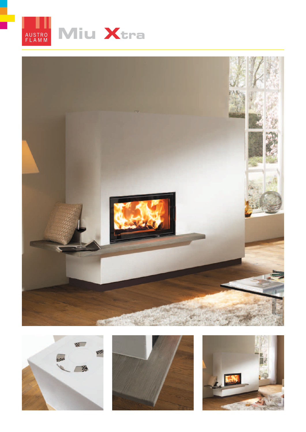